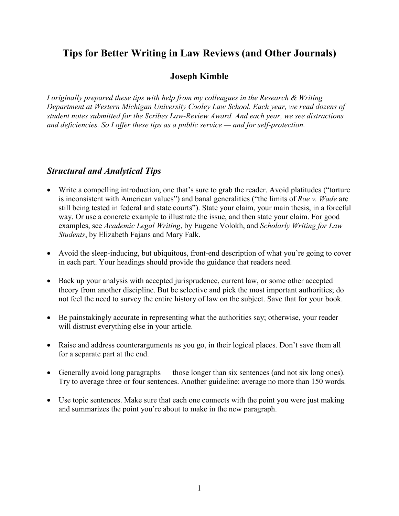# **Tips for Better Writing in Law Reviews (and Other Journals)**

#### **Joseph Kimble**

*I originally prepared these tips with help from my colleagues in the Research & Writing Department at Western Michigan University Cooley Law School. Each year, we read dozens of student notes submitted for the Scribes Law-Review Award. And each year, we see distractions and deficiencies. So I offer these tips as a public service — and for self-protection.*

#### *Structural and Analytical Tips*

- Write a compelling introduction, one that's sure to grab the reader. Avoid platitudes ("torture is inconsistent with American values") and banal generalities ("the limits of *Roe v. Wade* are still being tested in federal and state courts"). State your claim, your main thesis, in a forceful way. Or use a concrete example to illustrate the issue, and then state your claim. For good examples, see *Academic Legal Writing*, by Eugene Volokh, and *Scholarly Writing for Law Students*, by Elizabeth Fajans and Mary Falk.
- Avoid the sleep-inducing, but ubiquitous, front-end description of what you're going to cover in each part. Your headings should provide the guidance that readers need.
- Back up your analysis with accepted jurisprudence, current law, or some other accepted theory from another discipline. But be selective and pick the most important authorities; do not feel the need to survey the entire history of law on the subject. Save that for your book.
- Be painstakingly accurate in representing what the authorities say; otherwise, your reader will distrust everything else in your article.
- Raise and address counterarguments as you go, in their logical places. Don't save them all for a separate part at the end.
- Generally avoid long paragraphs those longer than six sentences (and not six long ones). Try to average three or four sentences. Another guideline: average no more than 150 words.
- Use topic sentences. Make sure that each one connects with the point you were just making and summarizes the point you're about to make in the new paragraph.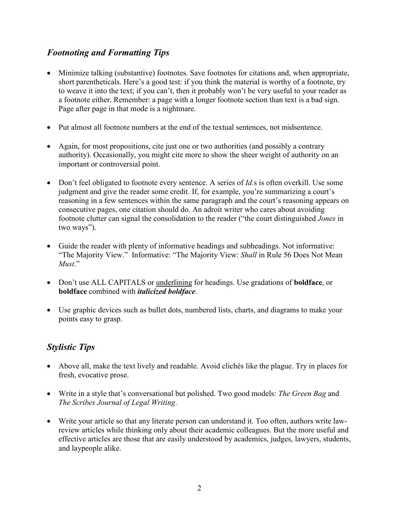## *Footnoting and Formatting Tips*

- Minimize talking (substantive) footnotes. Save footnotes for citations and, when appropriate, short parentheticals. Here's a good test: if you think the material is worthy of a footnote, try to weave it into the text; if you can't, then it probably won't be very useful to your reader as a footnote either. Remember: a page with a longer footnote section than text is a bad sign. Page after page in that mode is a nightmare.
- Put almost all footnote numbers at the end of the textual sentences, not midsentence.
- Again, for most propositions, cite just one or two authorities (and possibly a contrary authority). Occasionally, you might cite more to show the sheer weight of authority on an important or controversial point.
- Don't feel obligated to footnote every sentence. A series of *Id.*s is often overkill. Use some judgment and give the reader some credit. If, for example, you're summarizing a court's reasoning in a few sentences within the same paragraph and the court's reasoning appears on consecutive pages, one citation should do. An adroit writer who cares about avoiding footnote clutter can signal the consolidation to the reader ("the court distinguished *Jones* in two ways").
- Guide the reader with plenty of informative headings and subheadings. Not informative: "The Majority View." Informative: "The Majority View: *Shall* in Rule 56 Does Not Mean *Must*."
- Don't use ALL CAPITALS or underlining for headings. Use gradations of **boldface**, or **boldface** combined with *italicized boldface*.
- Use graphic devices such as bullet dots, numbered lists, charts, and diagrams to make your points easy to grasp.

## *Stylistic Tips*

- Above all, make the text lively and readable. Avoid clichés like the plague. Try in places for fresh, evocative prose.
- Write in a style that's conversational but polished. Two good models: *The Green Bag* and *The Scribes Journal of Legal Writing*.
- Write your article so that any literate person can understand it. Too often, authors write lawreview articles while thinking only about their academic colleagues. But the more useful and effective articles are those that are easily understood by academics, judges, lawyers, students, and laypeople alike.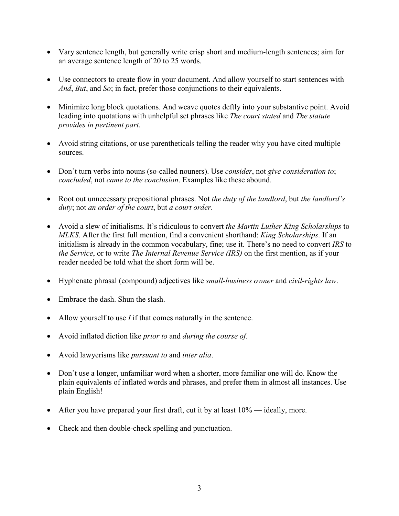- Vary sentence length, but generally write crisp short and medium-length sentences; aim for an average sentence length of 20 to 25 words.
- Use connectors to create flow in your document. And allow yourself to start sentences with *And*, *But*, and *So*; in fact, prefer those conjunctions to their equivalents.
- Minimize long block quotations. And weave quotes deftly into your substantive point. Avoid leading into quotations with unhelpful set phrases like *The court stated* and *The statute provides in pertinent part*.
- Avoid string citations, or use parentheticals telling the reader why you have cited multiple sources.
- Don't turn verbs into nouns (so-called nouners). Use *consider*, not *give consideration to*; *concluded*, not *came to the conclusion*. Examples like these abound.
- Root out unnecessary prepositional phrases. Not *the duty of the landlord*, but *the landlord's duty*; not *an order of the court*, but *a court order*.
- Avoid a slew of initialisms. It's ridiculous to convert *the Martin Luther King Scholarships* to *MLKS*. After the first full mention, find a convenient shorthand: *King Scholarships*. If an initialism is already in the common vocabulary, fine; use it. There's no need to convert *IRS* to *the Service*, or to write *The Internal Revenue Service (IRS)* on the first mention, as if your reader needed be told what the short form will be.
- Hyphenate phrasal (compound) adjectives like *small-business owner* and *civil-rights law*.
- Embrace the dash. Shun the slash.
- Allow yourself to use *I* if that comes naturally in the sentence.
- Avoid inflated diction like *prior to* and *during the course of*.
- Avoid lawyerisms like *pursuant to* and *inter alia*.
- Don't use a longer, unfamiliar word when a shorter, more familiar one will do. Know the plain equivalents of inflated words and phrases, and prefer them in almost all instances. Use plain English!
- After you have prepared your first draft, cut it by at least  $10\%$  ideally, more.
- Check and then double-check spelling and punctuation.